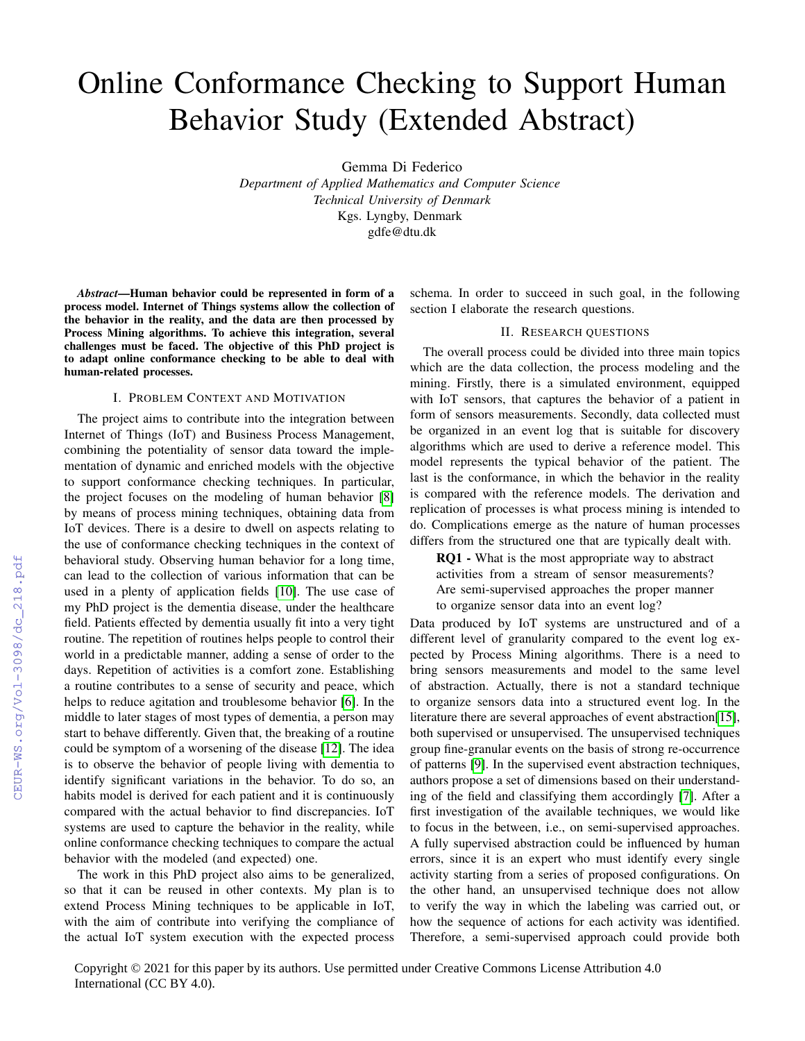## Online Conformance Checking to Support Human Behavior Study (Extended Abstract)

Gemma Di Federico

*Department of Applied Mathematics and Computer Science Technical University of Denmark* Kgs. Lyngby, Denmark gdfe@dtu.dk

*Abstract*—Human behavior could be represented in form of a process model. Internet of Things systems allow the collection of the behavior in the reality, and the data are then processed by Process Mining algorithms. To achieve this integration, several challenges must be faced. The objective of this PhD project is to adapt online conformance checking to be able to deal with human-related processes.

## I. PROBLEM CONTEXT AND MOTIVATION

The project aims to contribute into the integration between Internet of Things (IoT) and Business Process Management, combining the potentiality of sensor data toward the implementation of dynamic and enriched models with the objective to support conformance checking techniques. In particular, the project focuses on the modeling of human behavior [\[8\]](#page--1-0) by means of process mining techniques, obtaining data from IoT devices. There is a desire to dwell on aspects relating to the use of conformance checking techniques in the context of behavioral study. Observing human behavior for a long time, can lead to the collection of various information that can be used in a plenty of application fields [\[10\]](#page--1-1). The use case of my PhD project is the dementia disease, under the healthcare field. Patients effected by dementia usually fit into a very tight routine. The repetition of routines helps people to control their world in a predictable manner, adding a sense of order to the days. Repetition of activities is a comfort zone. Establishing a routine contributes to a sense of security and peace, which helps to reduce agitation and troublesome behavior [\[6\]](#page--1-2). In the middle to later stages of most types of dementia, a person may start to behave differently. Given that, the breaking of a routine could be symptom of a worsening of the disease [\[12\]](#page--1-3). The idea is to observe the behavior of people living with dementia to identify significant variations in the behavior. To do so, an habits model is derived for each patient and it is continuously compared with the actual behavior to find discrepancies. IoT systems are used to capture the behavior in the reality, while online conformance checking techniques to compare the actual behavior with the modeled (and expected) one.

The work in this PhD project also aims to be generalized, so that it can be reused in other contexts. My plan is to extend Process Mining techniques to be applicable in IoT, with the aim of contribute into verifying the compliance of the actual IoT system execution with the expected process

schema. In order to succeed in such goal, in the following section I elaborate the research questions.

## II. RESEARCH QUESTIONS

The overall process could be divided into three main topics which are the data collection, the process modeling and the mining. Firstly, there is a simulated environment, equipped with IoT sensors, that captures the behavior of a patient in form of sensors measurements. Secondly, data collected must be organized in an event log that is suitable for discovery algorithms which are used to derive a reference model. This model represents the typical behavior of the patient. The last is the conformance, in which the behavior in the reality is compared with the reference models. The derivation and replication of processes is what process mining is intended to do. Complications emerge as the nature of human processes differs from the structured one that are typically dealt with.

RQ1 - What is the most appropriate way to abstract activities from a stream of sensor measurements? Are semi-supervised approaches the proper manner to organize sensor data into an event log?

Data produced by IoT systems are unstructured and of a different level of granularity compared to the event log expected by Process Mining algorithms. There is a need to bring sensors measurements and model to the same level of abstraction. Actually, there is not a standard technique to organize sensors data into a structured event log. In the literature there are several approaches of event abstraction[\[15\]](#page--1-4), both supervised or unsupervised. The unsupervised techniques group fine-granular events on the basis of strong re-occurrence of patterns [\[9\]](#page--1-5). In the supervised event abstraction techniques, authors propose a set of dimensions based on their understanding of the field and classifying them accordingly [\[7\]](#page--1-6). After a first investigation of the available techniques, we would like to focus in the between, i.e., on semi-supervised approaches. A fully supervised abstraction could be influenced by human errors, since it is an expert who must identify every single activity starting from a series of proposed configurations. On the other hand, an unsupervised technique does not allow to verify the way in which the labeling was carried out, or how the sequence of actions for each activity was identified. Therefore, a semi-supervised approach could provide both